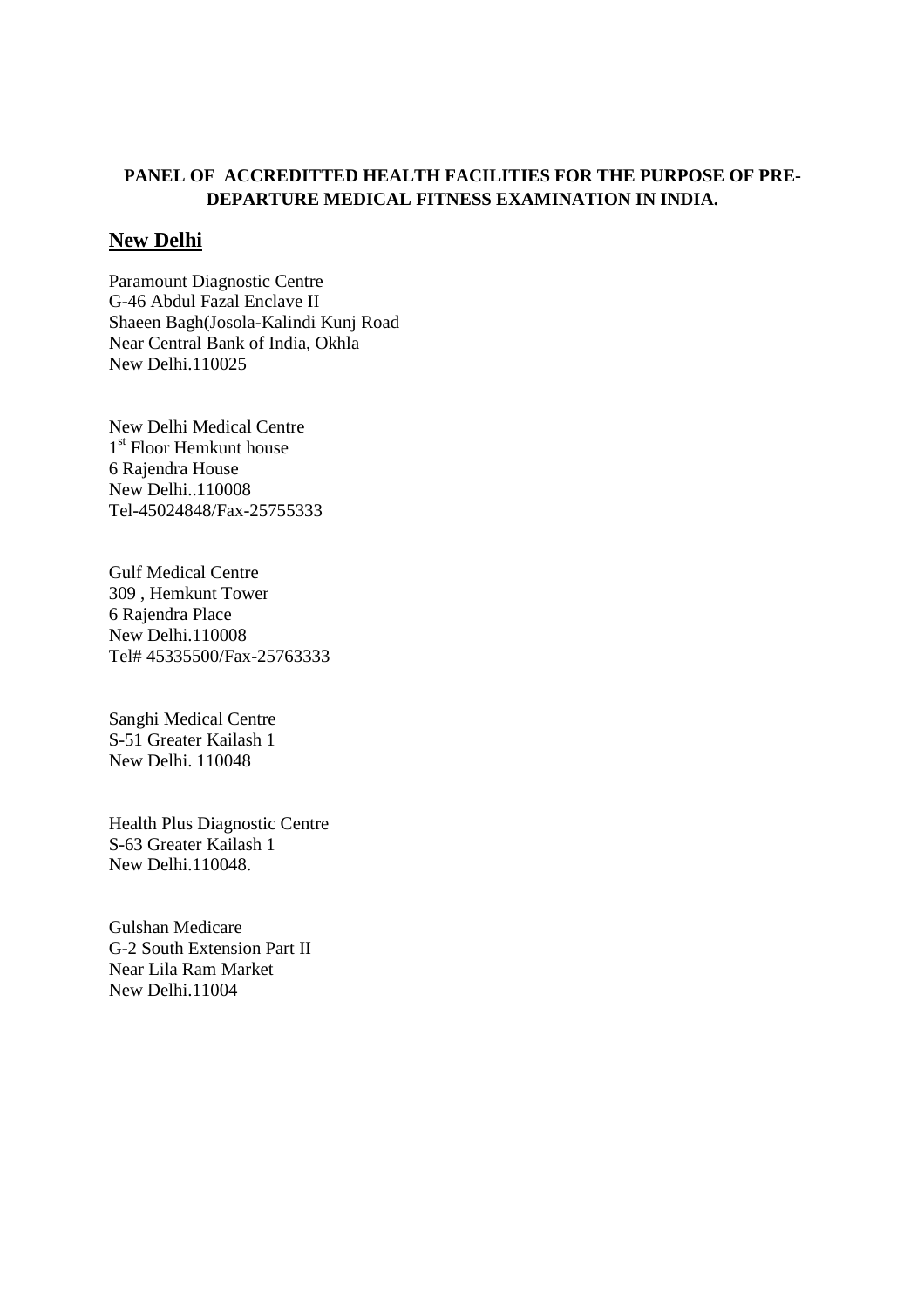## **PANEL OF ACCREDITTED HEALTH FACILITIES FOR THE PURPOSE OF PRE-DEPARTURE MEDICAL FITNESS EXAMINATION IN INDIA.**

#### **New Delhi**

Paramount Diagnostic Centre G-46 Abdul Fazal Enclave II Shaeen Bagh(Josola-Kalindi Kunj Road Near Central Bank of India, Okhla New Delhi.110025

New Delhi Medical Centre 1 st Floor Hemkunt house 6 Rajendra House New Delhi..110008 Tel-45024848/Fax-25755333

Gulf Medical Centre 309 , Hemkunt Tower 6 Rajendra Place New Delhi.110008 Tel# 45335500/Fax-25763333

Sanghi Medical Centre S-51 Greater Kailash 1 New Delhi. 110048

Health Plus Diagnostic Centre S-63 Greater Kailash 1 New Delhi.110048.

Gulshan Medicare G-2 South Extension Part II Near Lila Ram Market New Delhi.11004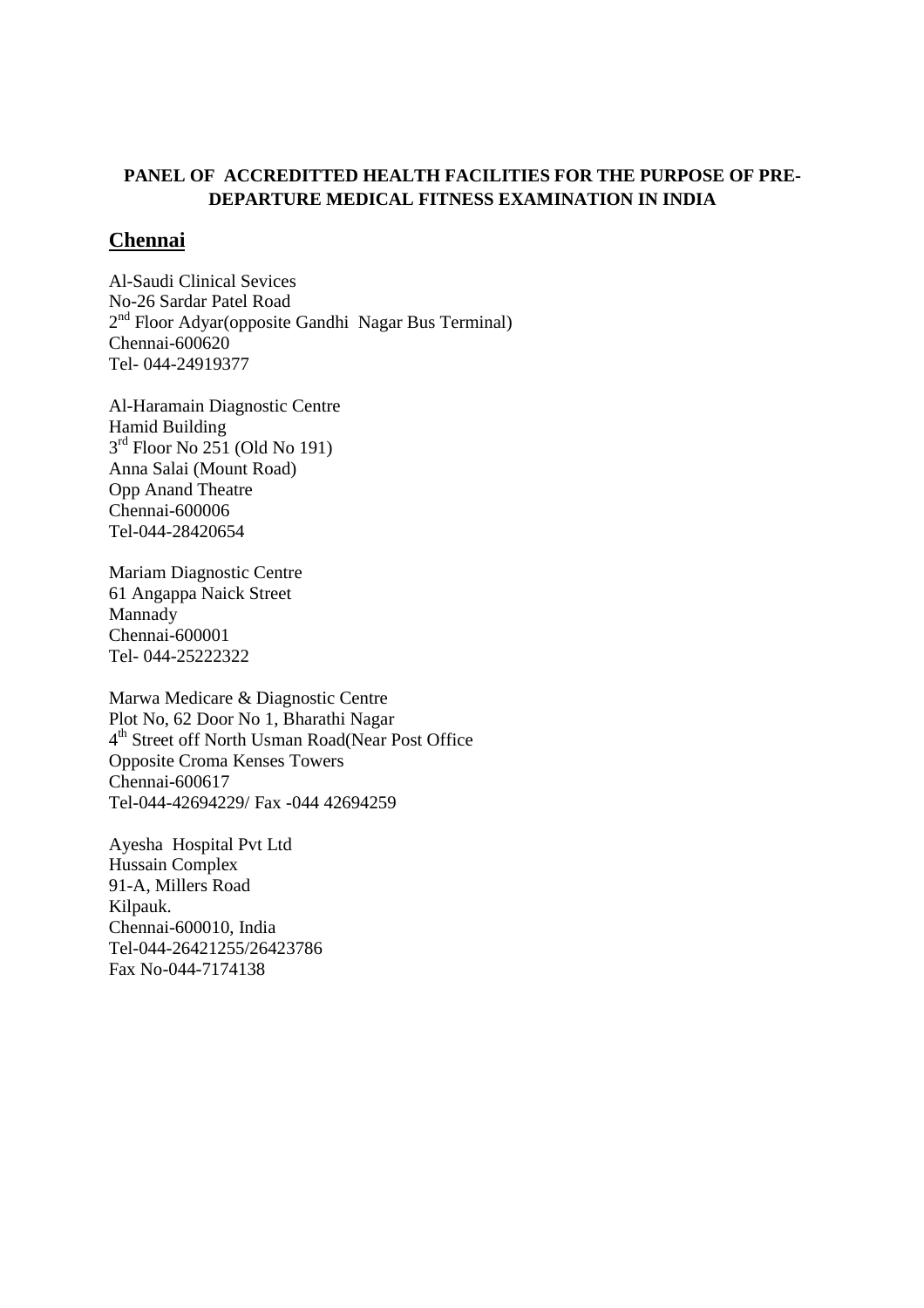### **PANEL OF ACCREDITTED HEALTH FACILITIES FOR THE PURPOSE OF PRE-DEPARTURE MEDICAL FITNESS EXAMINATION IN INDIA**

#### **Chennai**

Al-Saudi Clinical Sevices No-26 Sardar Patel Road 2<sup>nd</sup> Floor Adyar(opposite Gandhi Nagar Bus Terminal) Chennai-600620 Tel- 044-24919377

Al-Haramain Diagnostic Centre Hamid Building 3 rd Floor No 251 (Old No 191) Anna Salai (Mount Road) Opp Anand Theatre Chennai-600006 Tel-044-28420654

Mariam Diagnostic Centre 61 Angappa Naick Street Mannady Chennai-600001 Tel- 044-25222322

Marwa Medicare & Diagnostic Centre Plot No, 62 Door No 1, Bharathi Nagar 4 th Street off North Usman Road(Near Post Office Opposite Croma Kenses Towers Chennai-600617 Tel-044-42694229/ Fax -044 42694259

Ayesha Hospital Pvt Ltd Hussain Complex 91-A, Millers Road Kilpauk. Chennai-600010, India Tel-044-26421255/26423786 Fax No-044-7174138